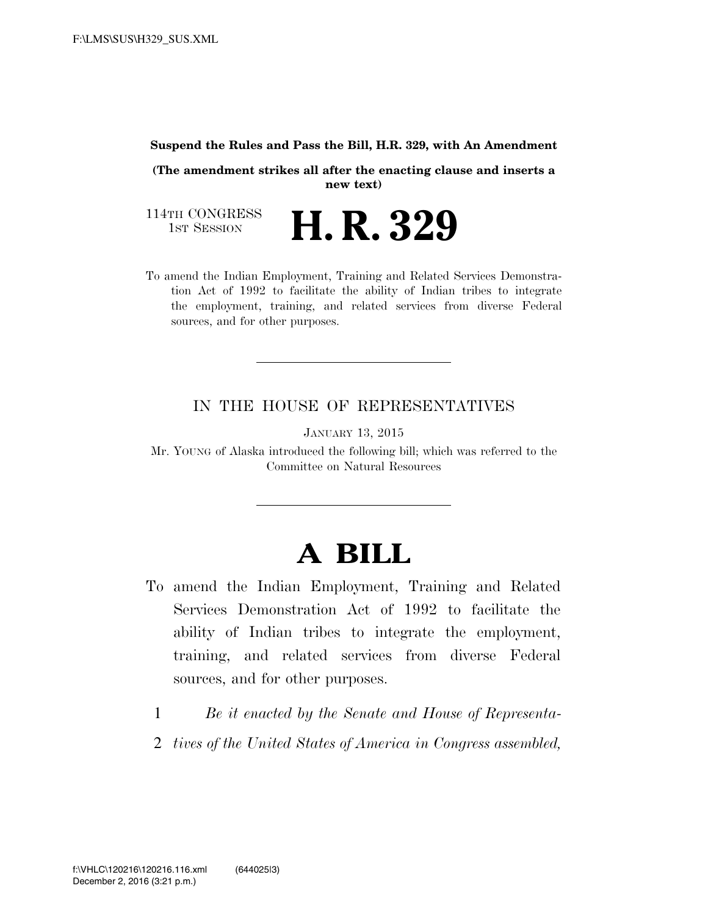#### **Suspend the Rules and Pass the Bill, H.R. 329, with An Amendment**

**(The amendment strikes all after the enacting clause and inserts a new text)** 

114TH CONGRESS<br>1st Session

H. R. 329

To amend the Indian Employment, Training and Related Services Demonstration Act of 1992 to facilitate the ability of Indian tribes to integrate the employment, training, and related services from diverse Federal sources, and for other purposes.

#### IN THE HOUSE OF REPRESENTATIVES

JANUARY 13, 2015

Mr. YOUNG of Alaska introduced the following bill; which was referred to the Committee on Natural Resources

# **A BILL**

- To amend the Indian Employment, Training and Related Services Demonstration Act of 1992 to facilitate the ability of Indian tribes to integrate the employment, training, and related services from diverse Federal sources, and for other purposes.
	- 1 *Be it enacted by the Senate and House of Representa-*
	- 2 *tives of the United States of America in Congress assembled,*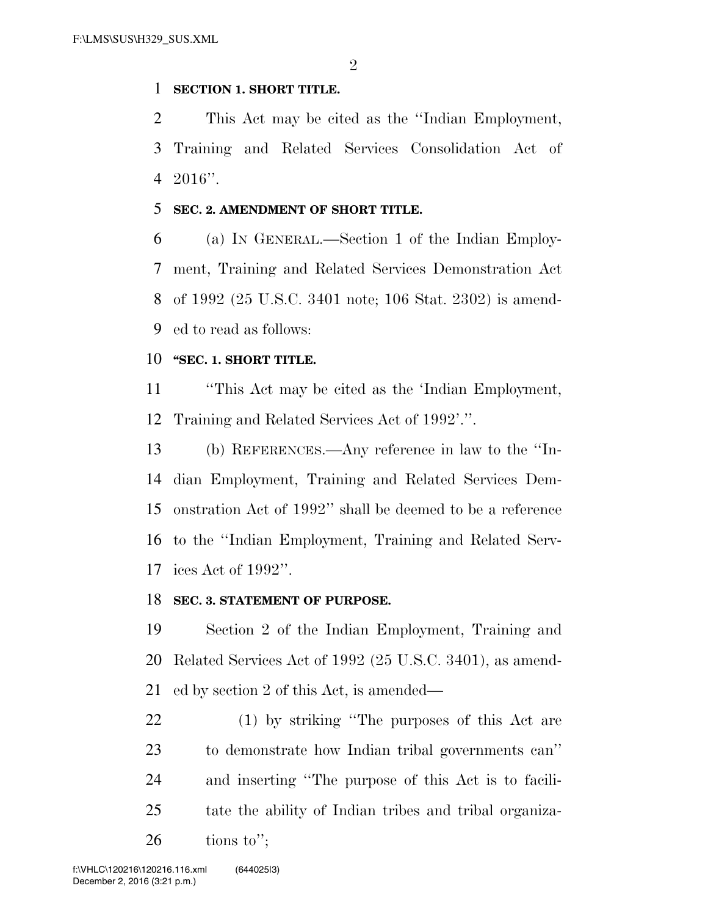### **SECTION 1. SHORT TITLE.**

 This Act may be cited as the ''Indian Employment, Training and Related Services Consolidation Act of 2016''.

### **SEC. 2. AMENDMENT OF SHORT TITLE.**

 (a) IN GENERAL.—Section 1 of the Indian Employ- ment, Training and Related Services Demonstration Act of 1992 (25 U.S.C. 3401 note; 106 Stat. 2302) is amend-ed to read as follows:

## **''SEC. 1. SHORT TITLE.**

 ''This Act may be cited as the 'Indian Employment, Training and Related Services Act of 1992'.''.

 (b) REFERENCES.—Any reference in law to the ''In- dian Employment, Training and Related Services Dem- onstration Act of 1992'' shall be deemed to be a reference to the ''Indian Employment, Training and Related Serv-ices Act of 1992''.

## **SEC. 3. STATEMENT OF PURPOSE.**

 Section 2 of the Indian Employment, Training and Related Services Act of 1992 (25 U.S.C. 3401), as amend-ed by section 2 of this Act, is amended—

 (1) by striking ''The purposes of this Act are to demonstrate how Indian tribal governments can'' and inserting ''The purpose of this Act is to facili- tate the ability of Indian tribes and tribal organiza-tions to";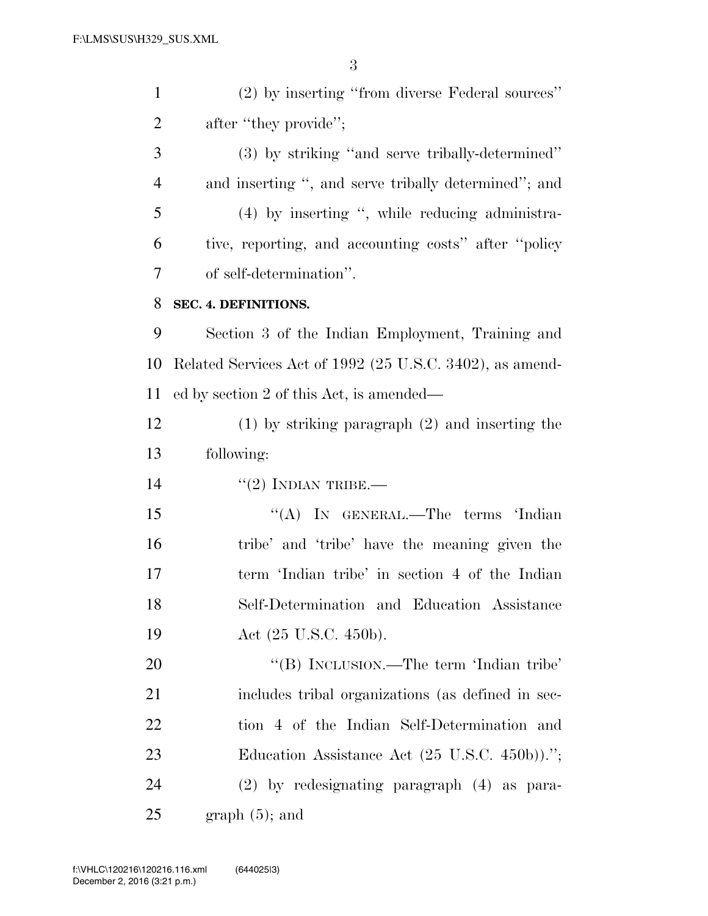(2) by inserting ''from diverse Federal sources'' 2 after "they provide"; (3) by striking ''and serve tribally-determined'' and inserting '', and serve tribally determined''; and (4) by inserting '', while reducing administra- tive, reporting, and accounting costs'' after ''policy of self-determination''. **SEC. 4. DEFINITIONS.**  Section 3 of the Indian Employment, Training and Related Services Act of 1992 (25 U.S.C. 3402), as amend- ed by section 2 of this Act, is amended— (1) by striking paragraph (2) and inserting the following:  $(2)$  INDIAN TRIBE.— 15 "(A) IN GENERAL.—The terms 'Indian tribe' and 'tribe' have the meaning given the term 'Indian tribe' in section 4 of the Indian Self-Determination and Education Assistance 19 Act (25 U.S.C. 450b).

20 "'(B) INCLUSION.—The term 'Indian tribe' includes tribal organizations (as defined in sec- tion 4 of the Indian Self-Determination and 23 Education Assistance Act (25 U.S.C. 450b))."; (2) by redesignating paragraph (4) as para-graph  $(5)$ ; and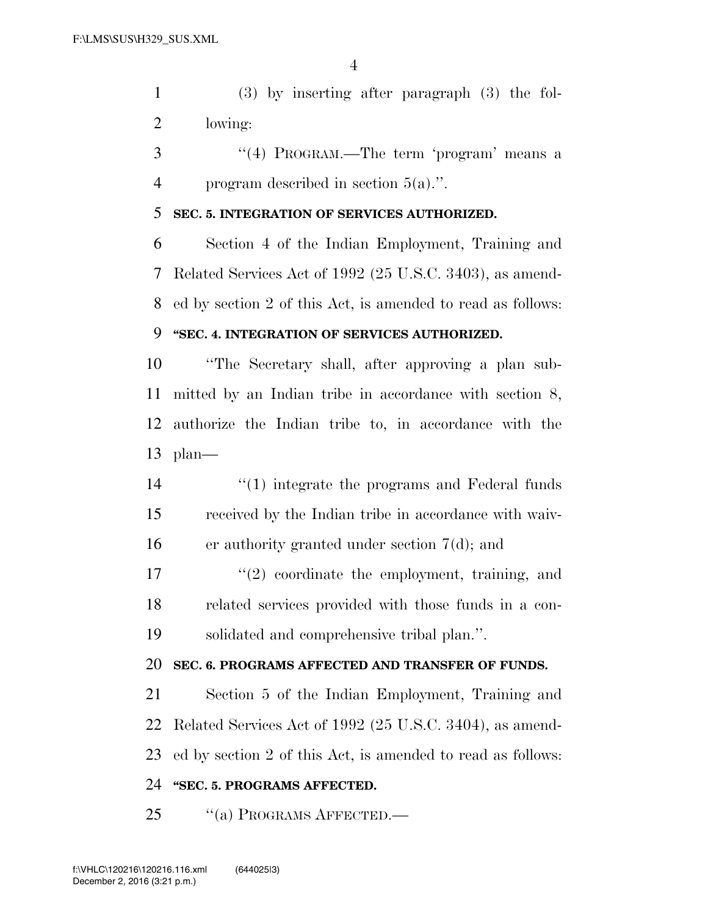(3) by inserting after paragraph (3) the fol-lowing:

 ''(4) PROGRAM.—The term 'program' means a program described in section 5(a).''.

#### **SEC. 5. INTEGRATION OF SERVICES AUTHORIZED.**

 Section 4 of the Indian Employment, Training and Related Services Act of 1992 (25 U.S.C. 3403), as amend-ed by section 2 of this Act, is amended to read as follows:

## **''SEC. 4. INTEGRATION OF SERVICES AUTHORIZED.**

 ''The Secretary shall, after approving a plan sub- mitted by an Indian tribe in accordance with section 8, authorize the Indian tribe to, in accordance with the plan—

14 ''(1) integrate the programs and Federal funds received by the Indian tribe in accordance with waiv-er authority granted under section 7(d); and

 $\frac{17}{2}$  ''(2) coordinate the employment, training, and related services provided with those funds in a con-solidated and comprehensive tribal plan.''.

### **SEC. 6. PROGRAMS AFFECTED AND TRANSFER OF FUNDS.**

 Section 5 of the Indian Employment, Training and Related Services Act of 1992 (25 U.S.C. 3404), as amend-ed by section 2 of this Act, is amended to read as follows:

## **''SEC. 5. PROGRAMS AFFECTED.**

25 "(a) PROGRAMS AFFECTED.—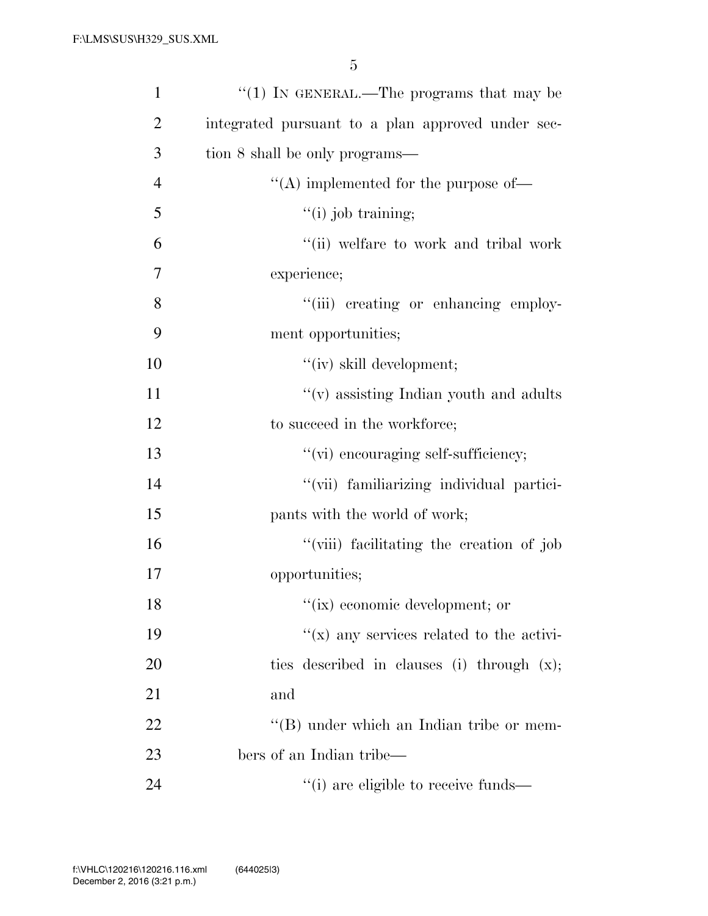| $\mathbf{1}$   | " $(1)$ IN GENERAL.—The programs that may be           |
|----------------|--------------------------------------------------------|
| $\overline{2}$ | integrated pursuant to a plan approved under sec-      |
| 3              | tion 8 shall be only programs—                         |
| $\overline{4}$ | $\lq\lq$ implemented for the purpose of —              |
| 5              | $"(i)$ job training;                                   |
| 6              | "(ii) welfare to work and tribal work                  |
| 7              | experience;                                            |
| 8              | "(iii) creating or enhancing employ-                   |
| 9              | ment opportunities;                                    |
| 10             | "(iv) skill development;                               |
| 11             | $\lq\lq(\mathbf{v})$ assisting Indian youth and adults |
| 12             | to succeed in the workforce;                           |
| 13             | "(vi) encouraging self-sufficiency;                    |
| 14             | "(vii) familiarizing individual partici-               |
| 15             | pants with the world of work;                          |
| 16             | "(viii) facilitating the creation of job               |
| 17             | opportunities;                                         |
| 18             | "(ix) economic development; or                         |
| 19             | $f(x)$ any services related to the activi-             |
| 20             | ties described in clauses (i) through $(x)$ ;          |
| 21             | and                                                    |
| 22             | $\lq\lq (B)$ under which an Indian tribe or mem-       |
| 23             | bers of an Indian tribe—                               |
| 24             | "(i) are eligible to receive funds—                    |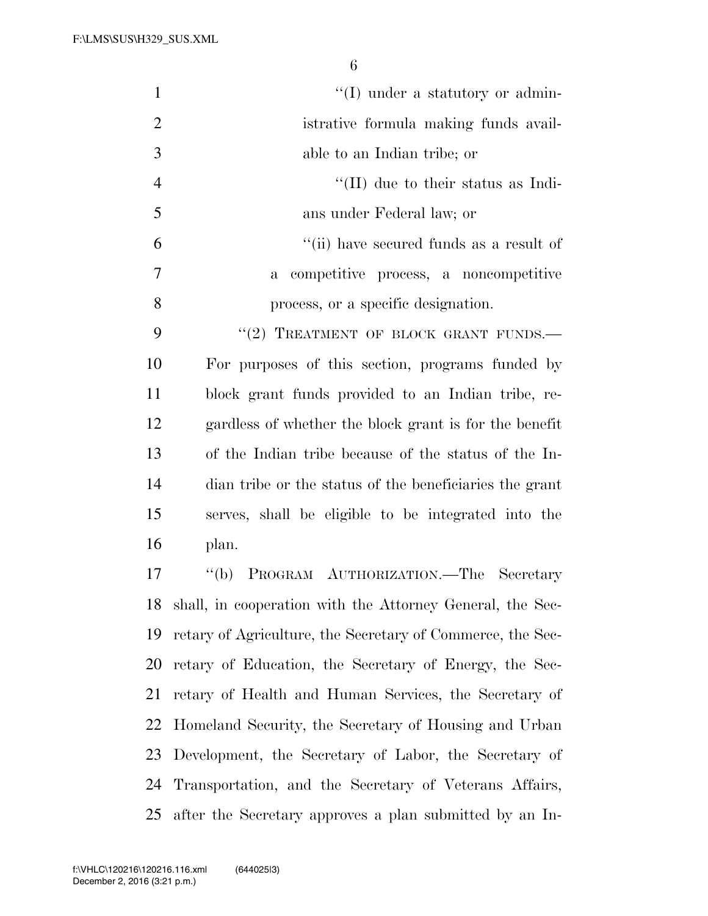| $\mathbf{1}$   | $\lq\lq$ (I) under a statutory or admin-                   |
|----------------|------------------------------------------------------------|
| $\overline{2}$ | istrative formula making funds avail-                      |
| 3              | able to an Indian tribe; or                                |
| $\overline{4}$ | $\lq$ (II) due to their status as Indi-                    |
| 5              | ans under Federal law; or                                  |
| 6              | "(ii) have secured funds as a result of                    |
| 7              | a competitive process, a noncompetitive                    |
| 8              | process, or a specific designation.                        |
| 9              | "(2) TREATMENT OF BLOCK GRANT FUNDS.                       |
| 10             | For purposes of this section, programs funded by           |
| 11             | block grant funds provided to an Indian tribe, re-         |
| 12             | gardless of whether the block grant is for the benefit     |
| 13             | of the Indian tribe because of the status of the In-       |
| 14             | dian tribe or the status of the beneficiaries the grant    |
| 15             | serves, shall be eligible to be integrated into the        |
| 16             | plan.                                                      |
| 17             | PROGRAM AUTHORIZATION.—The Secretary<br>$\lq (b)$          |
| 18             | shall, in cooperation with the Attorney General, the Sec-  |
| 19             | retary of Agriculture, the Secretary of Commerce, the Sec- |
| 20             | retary of Education, the Secretary of Energy, the Sec-     |
| 21             | retary of Health and Human Services, the Secretary of      |
| 22             | Homeland Security, the Secretary of Housing and Urban      |
| 23             | Development, the Secretary of Labor, the Secretary of      |
| 24             | Transportation, and the Secretary of Veterans Affairs,     |
| 25             | after the Secretary approves a plan submitted by an In-    |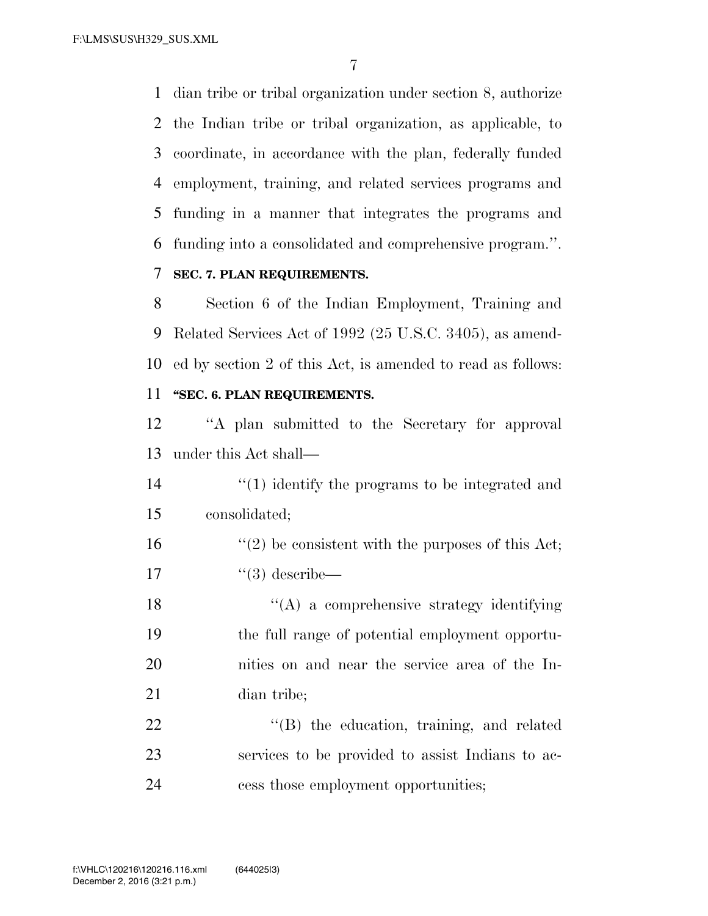dian tribe or tribal organization under section 8, authorize the Indian tribe or tribal organization, as applicable, to coordinate, in accordance with the plan, federally funded employment, training, and related services programs and funding in a manner that integrates the programs and funding into a consolidated and comprehensive program.''.

## **SEC. 7. PLAN REQUIREMENTS.**

 Section 6 of the Indian Employment, Training and Related Services Act of 1992 (25 U.S.C. 3405), as amend- ed by section 2 of this Act, is amended to read as follows: **''SEC. 6. PLAN REQUIREMENTS.** 

 ''A plan submitted to the Secretary for approval under this Act shall—

14 ''(1) identify the programs to be integrated and consolidated;

 $\frac{16}{20}$  be consistent with the purposes of this Act; ''(3) describe—

 $\langle (A)$  a comprehensive strategy identifying the full range of potential employment opportu- nities on and near the service area of the In-dian tribe;

22 "'(B) the education, training, and related services to be provided to assist Indians to ac-cess those employment opportunities;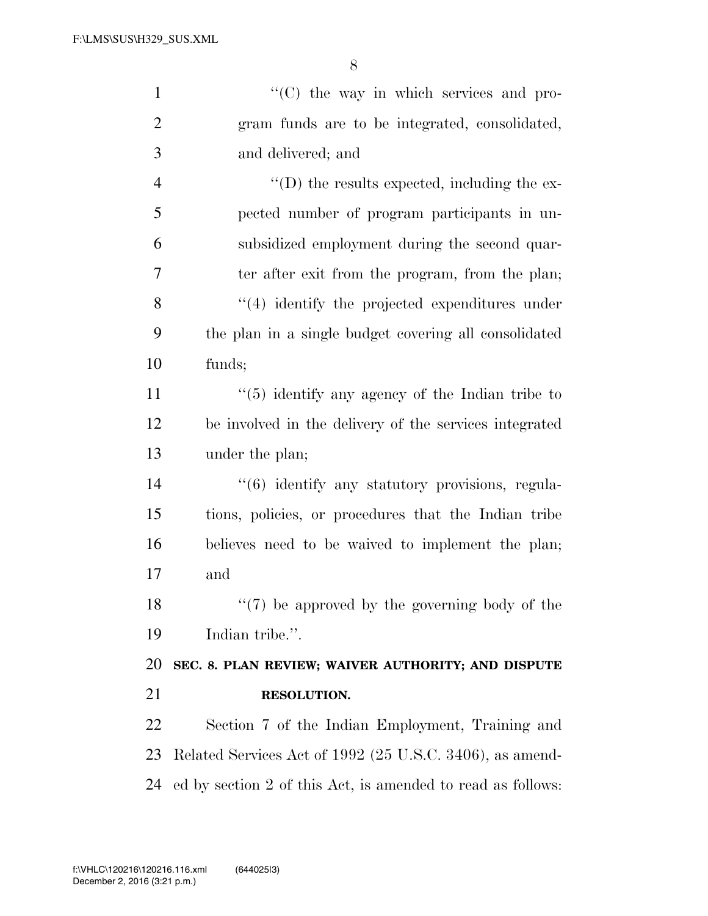| $\mathbf{1}$   | "(C) the way in which services and pro-                  |
|----------------|----------------------------------------------------------|
| $\overline{2}$ | gram funds are to be integrated, consolidated,           |
| 3              | and delivered; and                                       |
| $\overline{4}$ | $\lq\lq$ the results expected, including the ex-         |
| 5              | pected number of program participants in un-             |
| 6              | subsidized employment during the second quar-            |
| 7              | ter after exit from the program, from the plan;          |
| 8              | $\lq(4)$ identify the projected expenditures under       |
| 9              | the plan in a single budget covering all consolidated    |
| 10             | funds;                                                   |
| 11             | $\cdot$ (5) identify any agency of the Indian tribe to   |
| 12             | be involved in the delivery of the services integrated   |
| 13             | under the plan;                                          |
| 14             | "(6) identify any statutory provisions, regula-          |
| 15             | tions, policies, or procedures that the Indian tribe     |
| 16             | believes need to be waived to implement the plan;        |
| 17             | and                                                      |
| 18             | $\lq(7)$ be approved by the governing body of the        |
| 19             | Indian tribe.".                                          |
| 20             | SEC. 8. PLAN REVIEW; WAIVER AUTHORITY; AND DISPUTE       |
|                |                                                          |
|                | RESOLUTION.                                              |
|                | Section 7 of the Indian Employment, Training and         |
| 21<br>22<br>23 | Related Services Act of 1992 (25 U.S.C. 3406), as amend- |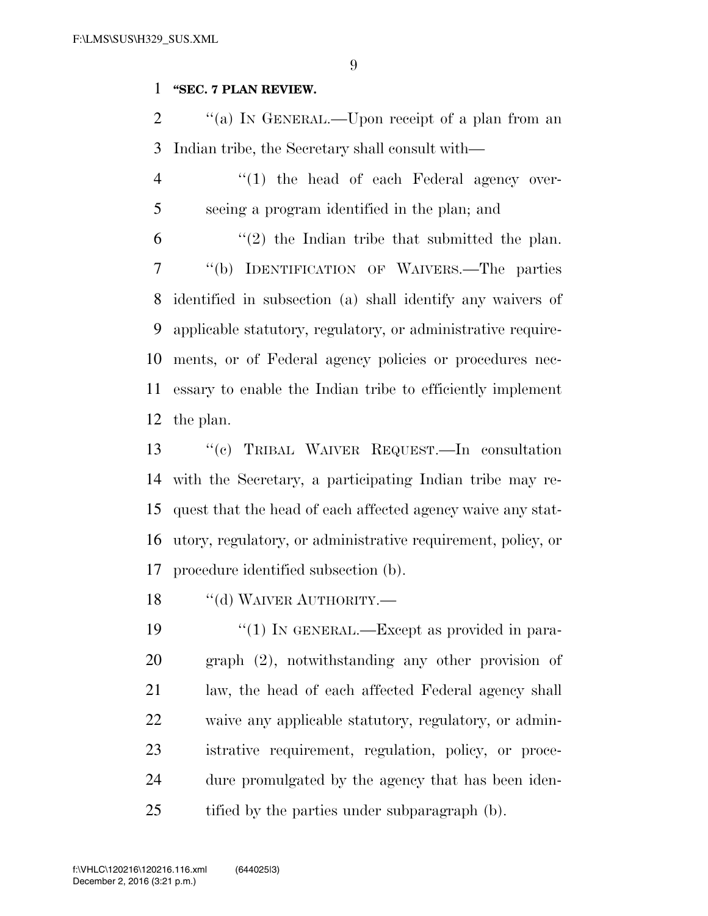#### **''SEC. 7 PLAN REVIEW.**

2  $\gamma$  (a) In GENERAL.—Upon receipt of a plan from an Indian tribe, the Secretary shall consult with—

4 "(1) the head of each Federal agency over-seeing a program identified in the plan; and

 $(2)$  the Indian tribe that submitted the plan. ''(b) IDENTIFICATION OF WAIVERS.—The parties identified in subsection (a) shall identify any waivers of applicable statutory, regulatory, or administrative require- ments, or of Federal agency policies or procedures nec- essary to enable the Indian tribe to efficiently implement the plan.

 ''(c) TRIBAL WAIVER REQUEST.—In consultation with the Secretary, a participating Indian tribe may re- quest that the head of each affected agency waive any stat- utory, regulatory, or administrative requirement, policy, or procedure identified subsection (b).

18 "(d) WAIVER AUTHORITY.—

 $\frac{1}{2}$  (1) In GENERAL.—Except as provided in para- graph (2), notwithstanding any other provision of law, the head of each affected Federal agency shall waive any applicable statutory, regulatory, or admin- istrative requirement, regulation, policy, or proce- dure promulgated by the agency that has been iden-25 tified by the parties under subparagraph (b).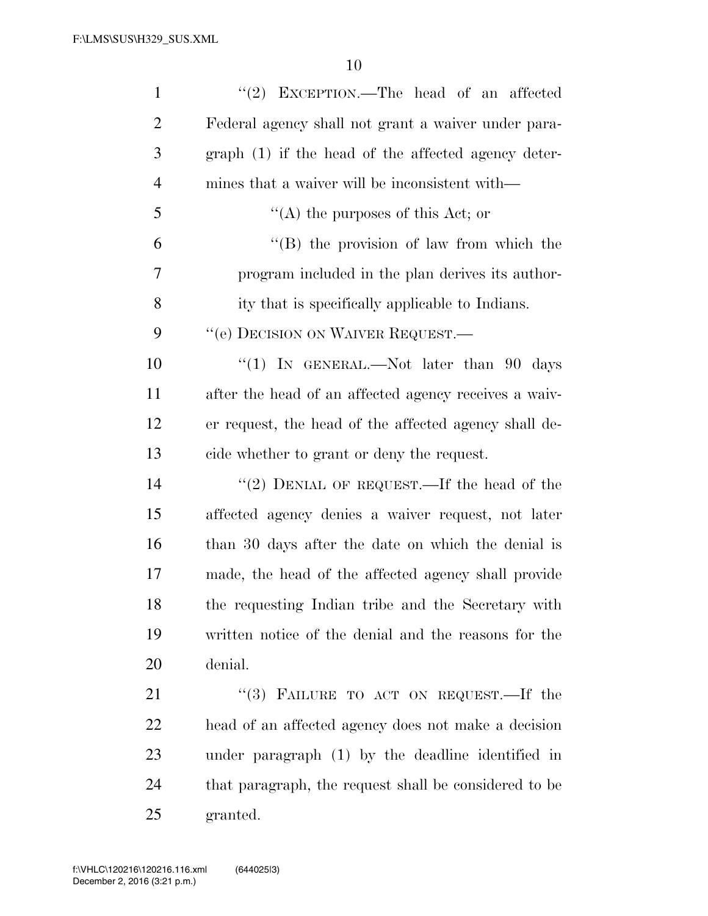| $\mathbf{1}$   | "(2) EXCEPTION.—The head of an affected               |
|----------------|-------------------------------------------------------|
| $\overline{2}$ | Federal agency shall not grant a waiver under para-   |
| 3              | graph (1) if the head of the affected agency deter-   |
| $\overline{4}$ | mines that a waiver will be inconsistent with—        |
| 5              | "(A) the purposes of this Act; or                     |
| 6              | $\lq\lq (B)$ the provision of law from which the      |
| 7              | program included in the plan derives its author-      |
| 8              | ity that is specifically applicable to Indians.       |
| 9              | "(e) DECISION ON WAIVER REQUEST.—                     |
| 10             | "(1) IN GENERAL.—Not later than $90$ days             |
| 11             | after the head of an affected agency receives a waiv- |
| 12             | er request, the head of the affected agency shall de- |
| 13             | cide whether to grant or deny the request.            |
| 14             | "(2) DENIAL OF REQUEST.—If the head of the            |
| 15             | affected agency denies a waiver request, not later    |
| 16             | than 30 days after the date on which the denial is    |
| 17             | made, the head of the affected agency shall provide   |
| 18             | the requesting Indian tribe and the Secretary with    |
| 19             | written notice of the denial and the reasons for the  |
| 20             | denial.                                               |
| 21             | "(3) FAILURE TO ACT ON REQUEST.—If the                |
| 22             | head of an affected agency does not make a decision   |
| 23             | under paragraph (1) by the deadline identified in     |
| 24             | that paragraph, the request shall be considered to be |
| 25             | granted.                                              |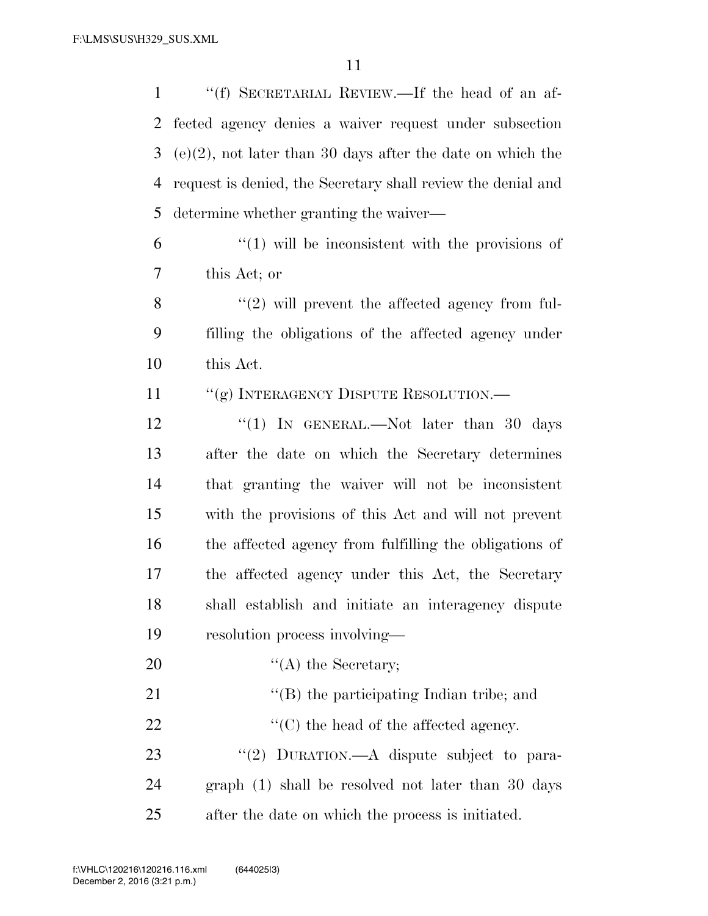''(f) SECRETARIAL REVIEW.—If the head of an af- fected agency denies a waiver request under subsection (e)(2), not later than 30 days after the date on which the request is denied, the Secretary shall review the denial and determine whether granting the waiver—

 $(1)$  will be inconsistent with the provisions of this Act; or

8 "(2) will prevent the affected agency from ful- filling the obligations of the affected agency under this Act.

11 "(g) INTERAGENCY DISPUTE RESOLUTION.—

12 "(1) In GENERAL.—Not later than 30 days after the date on which the Secretary determines that granting the waiver will not be inconsistent with the provisions of this Act and will not prevent the affected agency from fulfilling the obligations of the affected agency under this Act, the Secretary shall establish and initiate an interagency dispute resolution process involving—

20  $\text{``(A)}$  the Secretary;

21 ''(B) the participating Indian tribe; and

22  $\langle \hat{C} \rangle$  the head of the affected agency.

23 "(2) DURATION.—A dispute subject to para- graph (1) shall be resolved not later than 30 days after the date on which the process is initiated.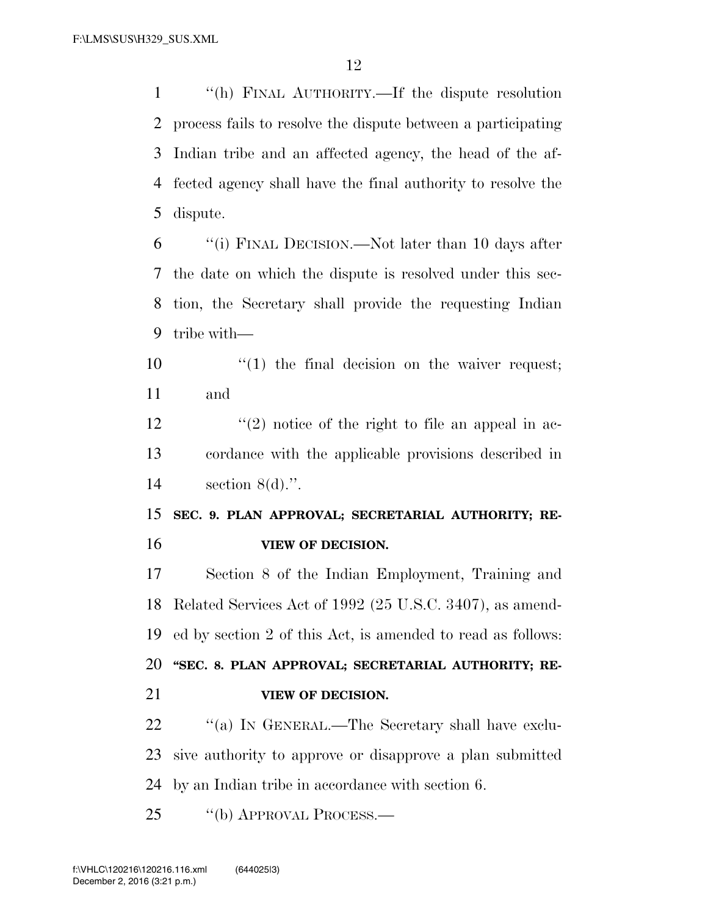''(h) FINAL AUTHORITY.—If the dispute resolution process fails to resolve the dispute between a participating Indian tribe and an affected agency, the head of the af- fected agency shall have the final authority to resolve the dispute.

 ''(i) FINAL DECISION.—Not later than 10 days after the date on which the dispute is resolved under this sec- tion, the Secretary shall provide the requesting Indian tribe with—

10  $\frac{1}{2}$  (1) the final decision on the waiver request; and

12  $\frac{12}{2}$   $\frac{12}{2}$  notice of the right to file an appeal in ac- cordance with the applicable provisions described in section 8(d).''.

 **SEC. 9. PLAN APPROVAL; SECRETARIAL AUTHORITY; RE-VIEW OF DECISION.** 

 Section 8 of the Indian Employment, Training and Related Services Act of 1992 (25 U.S.C. 3407), as amend- ed by section 2 of this Act, is amended to read as follows: **''SEC. 8. PLAN APPROVAL; SECRETARIAL AUTHORITY; RE-VIEW OF DECISION.** 

22 "(a) IN GENERAL.—The Secretary shall have exclu- sive authority to approve or disapprove a plan submitted by an Indian tribe in accordance with section 6.

25 "(b) APPROVAL PROCESS.—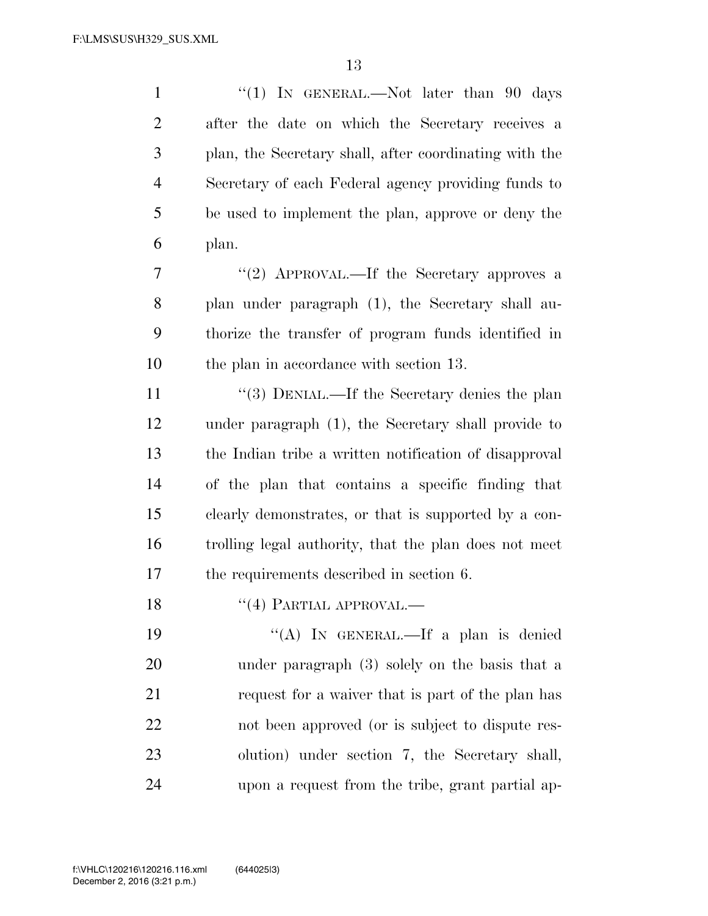| $\mathbf{1}$   | "(1) IN GENERAL.—Not later than 90 days                |
|----------------|--------------------------------------------------------|
| $\overline{2}$ | after the date on which the Secretary receives a       |
| 3              | plan, the Secretary shall, after coordinating with the |
| $\overline{4}$ | Secretary of each Federal agency providing funds to    |
| 5              | be used to implement the plan, approve or deny the     |
| 6              | plan.                                                  |
| 7              | "(2) APPROVAL.—If the Secretary approves a             |
| 8              | plan under paragraph (1), the Secretary shall au-      |
| 9              | thorize the transfer of program funds identified in    |
| 10             | the plan in accordance with section 13.                |
| 11             | "(3) DENIAL.—If the Secretary denies the plan          |
| 12             | under paragraph (1), the Secretary shall provide to    |
| 13             | the Indian tribe a written notification of disapproval |
| 14             | of the plan that contains a specific finding that      |
| 15             | clearly demonstrates, or that is supported by a con-   |
| 16             | trolling legal authority, that the plan does not meet  |
| 17             | the requirements described in section 6.               |
| 18             | $\lq(4)$ PARTIAL APPROVAL.—                            |
| 19             | "(A) IN GENERAL.—If a plan is denied                   |
| 20             | under paragraph (3) solely on the basis that a         |
| 21             | request for a waiver that is part of the plan has      |
| 22             | not been approved (or is subject to dispute res-       |
| 23             | olution) under section 7, the Secretary shall,         |
| 24             | upon a request from the tribe, grant partial ap-       |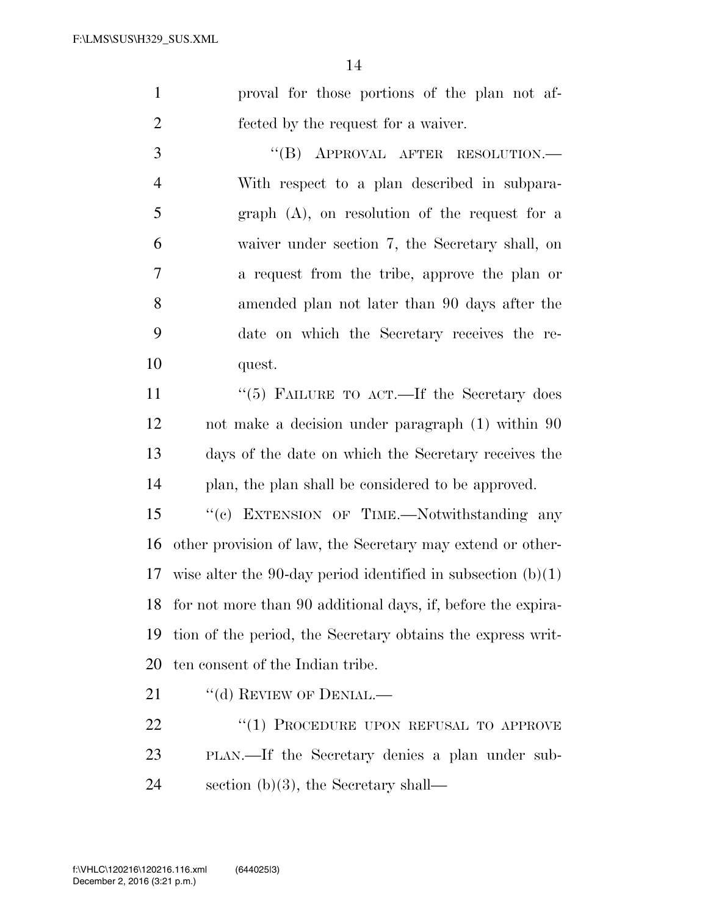proval for those portions of the plan not af-fected by the request for a waiver.

3 "(B) APPROVAL AFTER RESOLUTION.— With respect to a plan described in subpara- graph (A), on resolution of the request for a waiver under section 7, the Secretary shall, on a request from the tribe, approve the plan or amended plan not later than 90 days after the date on which the Secretary receives the re-quest.

11 ''(5) FAILURE TO ACT.—If the Secretary does not make a decision under paragraph (1) within 90 days of the date on which the Secretary receives the plan, the plan shall be considered to be approved.

15 "(c) EXTENSION OF TIME.—Notwithstanding any other provision of law, the Secretary may extend or other-17 wise alter the 90-day period identified in subsection  $(b)(1)$  for not more than 90 additional days, if, before the expira- tion of the period, the Secretary obtains the express writ-ten consent of the Indian tribe.

21 "(d) REVIEW OF DENIAL.—

22 "(1) PROCEDURE UPON REFUSAL TO APPROVE PLAN.—If the Secretary denies a plan under sub-section (b)(3), the Secretary shall—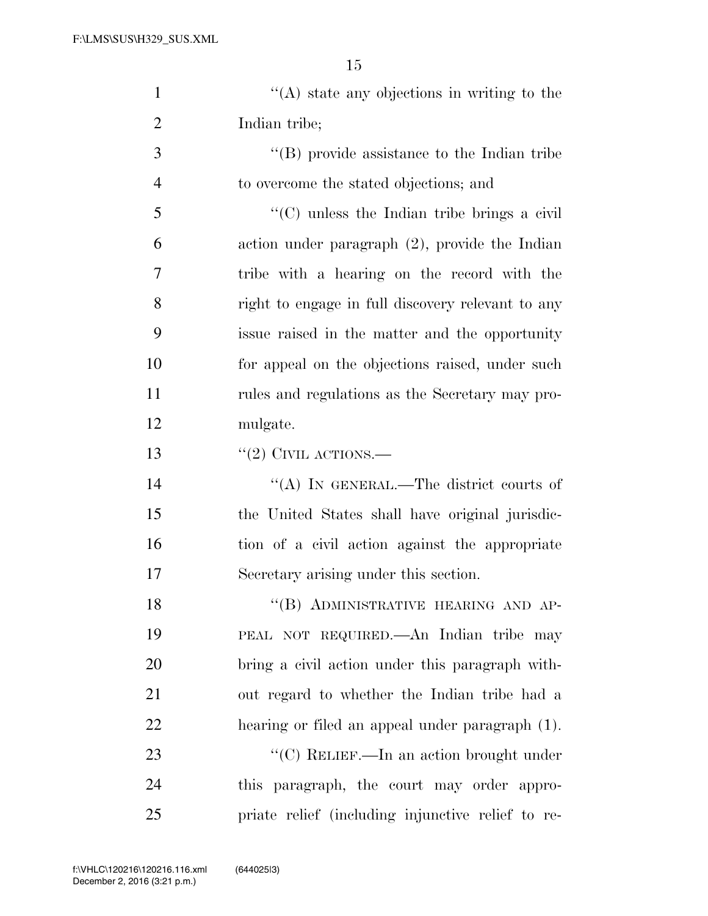| $\mathbf{1}$   | $\lq\lq$ state any objections in writing to the     |
|----------------|-----------------------------------------------------|
| $\overline{2}$ | Indian tribe;                                       |
| 3              | $\lq\lq (B)$ provide assistance to the Indian tribe |
| $\overline{4}$ | to overcome the stated objections; and              |
| 5              | $\lq\lq$ (C) unless the Indian tribe brings a civil |
| 6              | action under paragraph $(2)$ , provide the Indian   |
| 7              | tribe with a hearing on the record with the         |
| 8              | right to engage in full discovery relevant to any   |
| 9              | issue raised in the matter and the opportunity      |
| 10             | for appeal on the objections raised, under such     |
| 11             | rules and regulations as the Secretary may pro-     |
| 12             | mulgate.                                            |
| 13             | $``(2)$ CIVIL ACTIONS.—                             |
| 14             | "(A) IN GENERAL.—The district courts of             |
| 15             | the United States shall have original jurisdic-     |
| 16             | tion of a civil action against the appropriate      |
| 17             | Secretary arising under this section.               |
| 18             | "(B) ADMINISTRATIVE HEARING AND AP-                 |
| 19             | PEAL NOT REQUIRED.—An Indian tribe may              |
| 20             | bring a civil action under this paragraph with-     |
| 21             | out regard to whether the Indian tribe had a        |
| 22             | hearing or filed an appeal under paragraph (1).     |
| 23             | "(C) RELIEF.—In an action brought under             |
| 24             | this paragraph, the court may order appro-          |
| 25             | priate relief (including injunctive relief to re-   |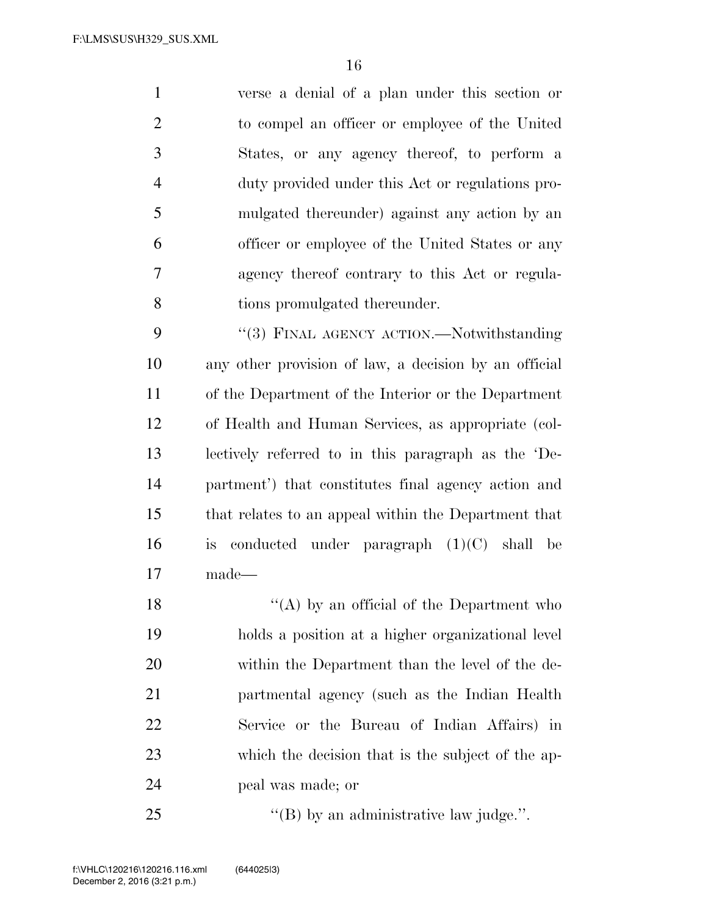verse a denial of a plan under this section or to compel an officer or employee of the United States, or any agency thereof, to perform a duty provided under this Act or regulations pro- mulgated thereunder) against any action by an officer or employee of the United States or any agency thereof contrary to this Act or regula-tions promulgated thereunder.

9 "(3) FINAL AGENCY ACTION.—Notwithstanding any other provision of law, a decision by an official of the Department of the Interior or the Department of Health and Human Services, as appropriate (col- lectively referred to in this paragraph as the 'De- partment') that constitutes final agency action and that relates to an appeal within the Department that is conducted under paragraph (1)(C) shall be made—

 $\langle (A) \rangle$  by an official of the Department who holds a position at a higher organizational level within the Department than the level of the de- partmental agency (such as the Indian Health Service or the Bureau of Indian Affairs) in which the decision that is the subject of the ap-peal was made; or

25 "'(B) by an administrative law judge.".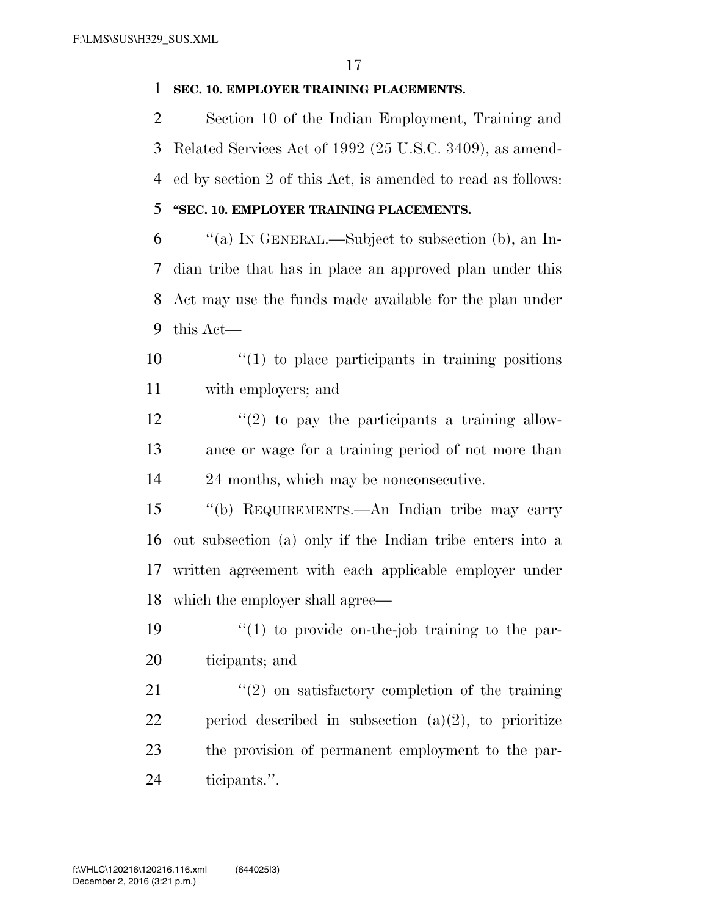#### **SEC. 10. EMPLOYER TRAINING PLACEMENTS.**

 Section 10 of the Indian Employment, Training and Related Services Act of 1992 (25 U.S.C. 3409), as amend- ed by section 2 of this Act, is amended to read as follows: **''SEC. 10. EMPLOYER TRAINING PLACEMENTS.** 

 ''(a) IN GENERAL.—Subject to subsection (b), an In- dian tribe that has in place an approved plan under this Act may use the funds made available for the plan under this Act—

 $\frac{10}{10}$  <sup>(1)</sup> to place participants in training positions with employers; and

 $\frac{12}{2}$  ''(2) to pay the participants a training allow- ance or wage for a training period of not more than 24 months, which may be nonconsecutive.

 ''(b) REQUIREMENTS.—An Indian tribe may carry out subsection (a) only if the Indian tribe enters into a written agreement with each applicable employer under which the employer shall agree—

19  $\frac{1}{2}$  (1) to provide on-the-job training to the par-ticipants; and

21 ''(2) on satisfactory completion of the training 22 period described in subsection  $(a)(2)$ , to prioritize the provision of permanent employment to the par-ticipants.''.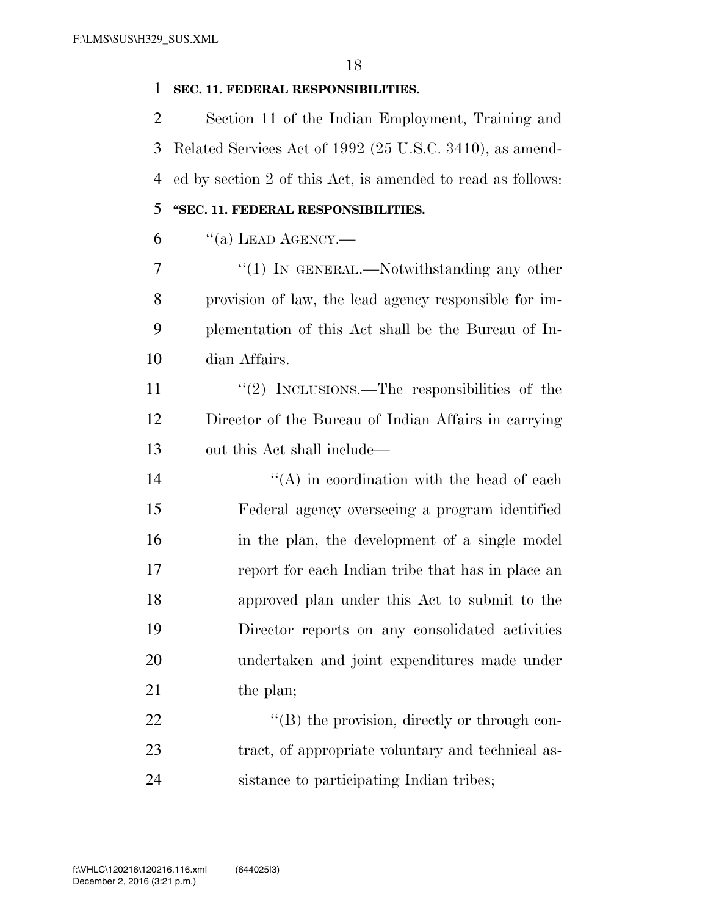#### **SEC. 11. FEDERAL RESPONSIBILITIES.**

 Section 11 of the Indian Employment, Training and Related Services Act of 1992 (25 U.S.C. 3410), as amend- ed by section 2 of this Act, is amended to read as follows: **''SEC. 11. FEDERAL RESPONSIBILITIES.** 

"(a) LEAD AGENCY.—

7 "(1) In GENERAL.—Notwithstanding any other provision of law, the lead agency responsible for im- plementation of this Act shall be the Bureau of In-dian Affairs.

11  $\frac{1}{2}$  INCLUSIONS.—The responsibilities of the Director of the Bureau of Indian Affairs in carrying out this Act shall include—

 $i'(A)$  in coordination with the head of each Federal agency overseeing a program identified in the plan, the development of a single model report for each Indian tribe that has in place an approved plan under this Act to submit to the Director reports on any consolidated activities undertaken and joint expenditures made under 21 the plan;

22  $\text{``(B) the provision, directly or through con-}$ 23 tract, of appropriate voluntary and technical as-sistance to participating Indian tribes;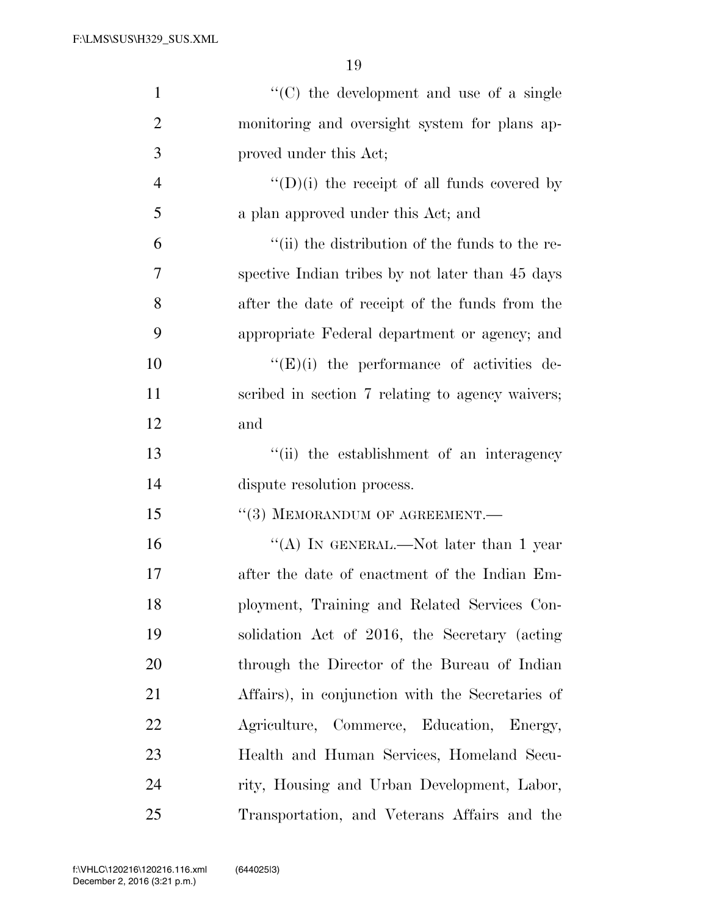| $\mathbf{1}$   | "(C) the development and use of a single            |
|----------------|-----------------------------------------------------|
| $\overline{2}$ | monitoring and oversight system for plans ap-       |
| 3              | proved under this Act;                              |
| $\overline{4}$ | $\lq\lq$ (D)(i) the receipt of all funds covered by |
| 5              | a plan approved under this Act; and                 |
| 6              | "(ii) the distribution of the funds to the re-      |
| 7              | spective Indian tribes by not later than 45 days    |
| 8              | after the date of receipt of the funds from the     |
| 9              | appropriate Federal department or agency; and       |
| 10             | $\lq\lq(E)(i)$ the performance of activities de-    |
| 11             | scribed in section 7 relating to agency waivers;    |
| 12             | and                                                 |
| 13             | "(ii) the establishment of an interagency           |
| 14             | dispute resolution process.                         |
| 15             | "(3) MEMORANDUM OF AGREEMENT.-                      |
| 16             | "(A) IN GENERAL.—Not later than 1 year              |
| 17             | after the date of enactment of the Indian Em-       |
| 18             | ployment, Training and Related Services Con-        |
| 19             | solidation Act of 2016, the Secretary (acting       |
| 20             | through the Director of the Bureau of Indian        |
| 21             | Affairs), in conjunction with the Secretaries of    |
| <u>22</u>      | Agriculture, Commerce, Education, Energy,           |
| 23             | Health and Human Services, Homeland Secu-           |
| 24             | rity, Housing and Urban Development, Labor,         |
| 25             | Transportation, and Veterans Affairs and the        |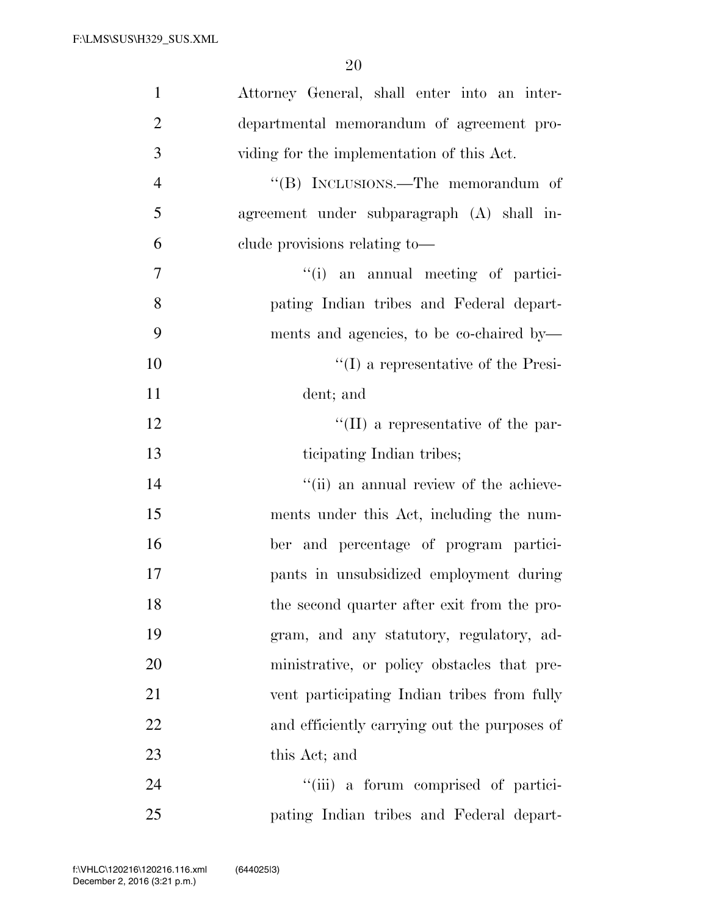| $\mathbf{1}$   | Attorney General, shall enter into an inter- |
|----------------|----------------------------------------------|
| $\overline{2}$ | departmental memorandum of agreement pro-    |
| 3              | viding for the implementation of this Act.   |
| $\overline{4}$ | "(B) INCLUSIONS.—The memorandum of           |
| 5              | agreement under subparagraph (A) shall in-   |
| 6              | clude provisions relating to-                |
| $\overline{7}$ | "(i) an annual meeting of partici-           |
| 8              | pating Indian tribes and Federal depart-     |
| 9              | ments and agencies, to be co-chaired by—     |
| 10             | $\lq\lq$ a representative of the Presi-      |
| 11             | dent; and                                    |
| 12             | $\lq\lq$ (II) a representative of the par-   |
| 13             | ticipating Indian tribes;                    |
| 14             | "(ii) an annual review of the achieve-       |
| 15             | ments under this Act, including the num-     |
| 16             | ber and percentage of program partici-       |
| 17             | pants in unsubsidized employment during      |
| 18             | the second quarter after exit from the pro-  |
| 19             | gram, and any statutory, regulatory, ad-     |
| 20             | ministrative, or policy obstacles that pre-  |
| 21             | vent participating Indian tribes from fully  |
| 22             | and efficiently carrying out the purposes of |
| 23             | this Act; and                                |
| 24             | "(iii) a forum comprised of partici-         |
| 25             | pating Indian tribes and Federal depart-     |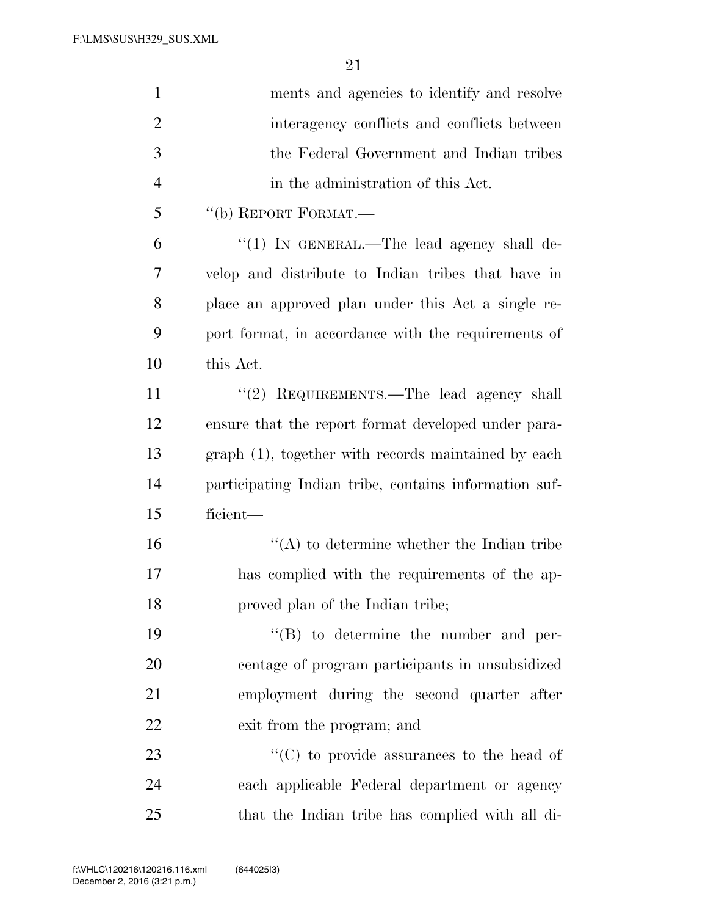| $\mathbf{1}$   | ments and agencies to identify and resolve            |
|----------------|-------------------------------------------------------|
| $\overline{2}$ | interagency conflicts and conflicts between           |
| 3              | the Federal Government and Indian tribes              |
| $\overline{4}$ | in the administration of this Act.                    |
| 5              | "(b) REPORT FORMAT.—                                  |
| 6              | " $(1)$ In GENERAL.—The lead agency shall de-         |
| 7              | velop and distribute to Indian tribes that have in    |
| 8              | place an approved plan under this Act a single re-    |
| 9              | port format, in accordance with the requirements of   |
| 10             | this Act.                                             |
| 11             | "(2) REQUIREMENTS.—The lead agency shall              |
| 12             | ensure that the report format developed under para-   |
| 13             | graph (1), together with records maintained by each   |
| 14             | participating Indian tribe, contains information suf- |
| 15             | ficient-                                              |
| 16             | $\lq\lq$ to determine whether the Indian tribe        |
| 17             | has complied with the requirements of the ap-         |
| 18             | proved plan of the Indian tribe;                      |
| 19             | $\lq\lq (B)$ to determine the number and per-         |
| 20             | centage of program participants in unsubsidized       |
| 21             | employment during the second quarter after            |
| 22             | exit from the program; and                            |
| 23             | " $(C)$ to provide assurances to the head of          |
| 24             | each applicable Federal department or agency          |
| $25\,$         | that the Indian tribe has complied with all di-       |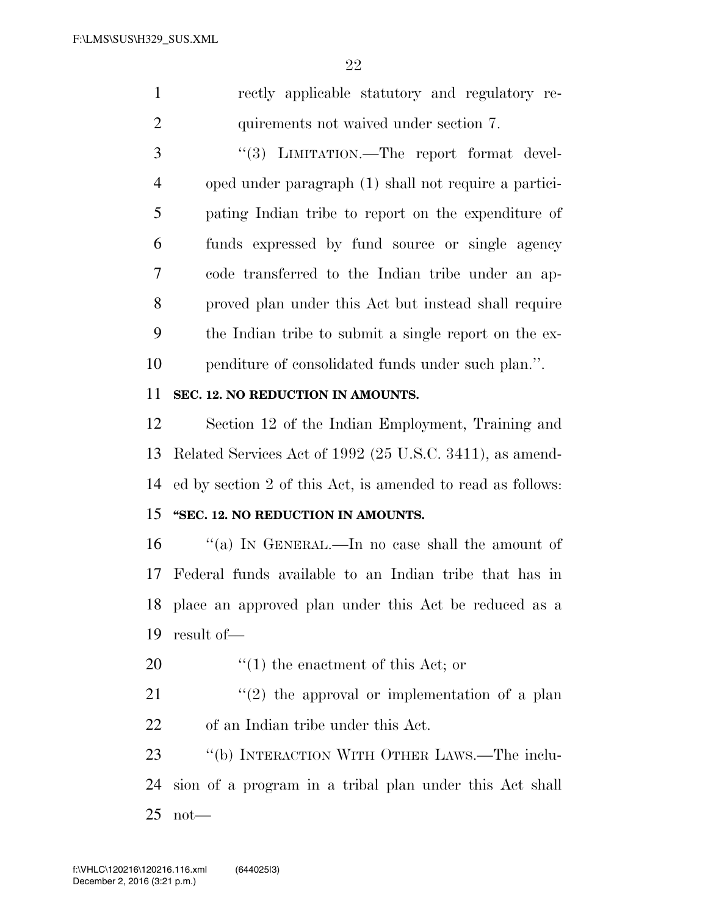rectly applicable statutory and regulatory re-quirements not waived under section 7.

3 "(3) LIMITATION.—The report format devel- oped under paragraph (1) shall not require a partici- pating Indian tribe to report on the expenditure of funds expressed by fund source or single agency code transferred to the Indian tribe under an ap- proved plan under this Act but instead shall require the Indian tribe to submit a single report on the ex-penditure of consolidated funds under such plan.''.

#### **SEC. 12. NO REDUCTION IN AMOUNTS.**

 Section 12 of the Indian Employment, Training and Related Services Act of 1992 (25 U.S.C. 3411), as amend-ed by section 2 of this Act, is amended to read as follows:

## **''SEC. 12. NO REDUCTION IN AMOUNTS.**

 ''(a) IN GENERAL.—In no case shall the amount of Federal funds available to an Indian tribe that has in place an approved plan under this Act be reduced as a result of—

20  $\frac{1}{20}$   $\frac{1}{20}$  the enactment of this Act; or

21  $\frac{1}{2}$  the approval or implementation of a plan of an Indian tribe under this Act.

 ''(b) INTERACTION WITH OTHER LAWS.—The inclu- sion of a program in a tribal plan under this Act shall not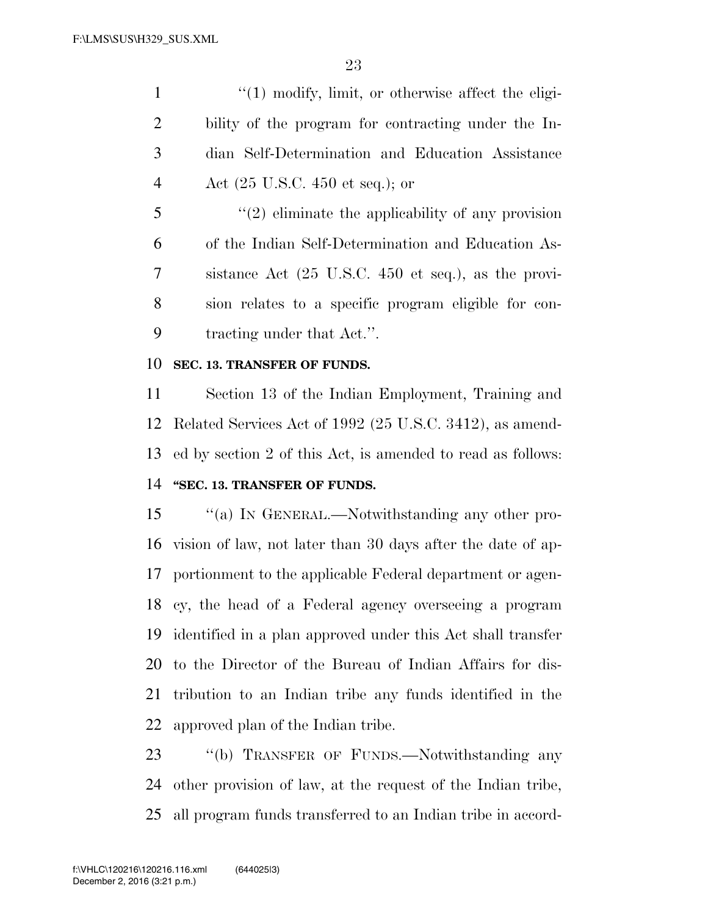1 ''(1) modify, limit, or otherwise affect the eligi- bility of the program for contracting under the In- dian Self-Determination and Education Assistance Act (25 U.S.C. 450 et seq.); or

 ''(2) eliminate the applicability of any provision of the Indian Self-Determination and Education As- sistance Act (25 U.S.C. 450 et seq.), as the provi- sion relates to a specific program eligible for con-tracting under that Act.''.

#### **SEC. 13. TRANSFER OF FUNDS.**

 Section 13 of the Indian Employment, Training and Related Services Act of 1992 (25 U.S.C. 3412), as amend- ed by section 2 of this Act, is amended to read as follows: **''SEC. 13. TRANSFER OF FUNDS.** 

 ''(a) IN GENERAL.—Notwithstanding any other pro- vision of law, not later than 30 days after the date of ap- portionment to the applicable Federal department or agen- cy, the head of a Federal agency overseeing a program identified in a plan approved under this Act shall transfer to the Director of the Bureau of Indian Affairs for dis- tribution to an Indian tribe any funds identified in the approved plan of the Indian tribe.

23 "(b) TRANSFER OF FUNDS.—Notwithstanding any other provision of law, at the request of the Indian tribe, all program funds transferred to an Indian tribe in accord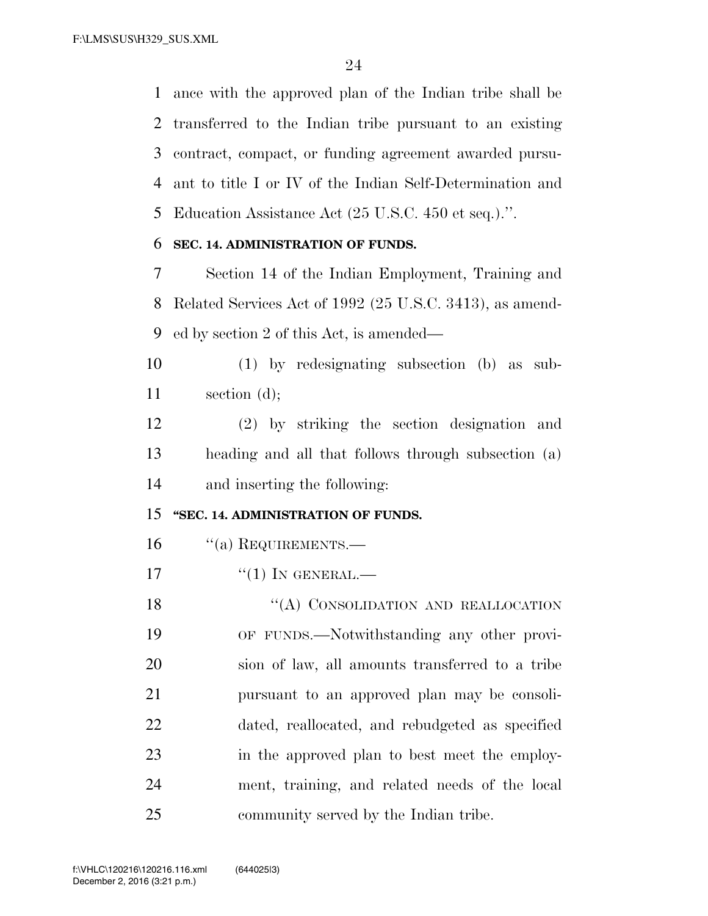ance with the approved plan of the Indian tribe shall be transferred to the Indian tribe pursuant to an existing contract, compact, or funding agreement awarded pursu- ant to title I or IV of the Indian Self-Determination and Education Assistance Act (25 U.S.C. 450 et seq.).''.

#### **SEC. 14. ADMINISTRATION OF FUNDS.**

 Section 14 of the Indian Employment, Training and Related Services Act of 1992 (25 U.S.C. 3413), as amend-ed by section 2 of this Act, is amended—

 (1) by redesignating subsection (b) as sub-section (d);

 (2) by striking the section designation and heading and all that follows through subsection (a) and inserting the following:

#### **''SEC. 14. ADMINISTRATION OF FUNDS.**

- 16 "(a) REQUIREMENTS.—
- "(1) IN GENERAL.—

18 "(A) CONSOLIDATION AND REALLOCATION OF FUNDS.—Notwithstanding any other provi- sion of law, all amounts transferred to a tribe pursuant to an approved plan may be consoli- dated, reallocated, and rebudgeted as specified in the approved plan to best meet the employ- ment, training, and related needs of the local community served by the Indian tribe.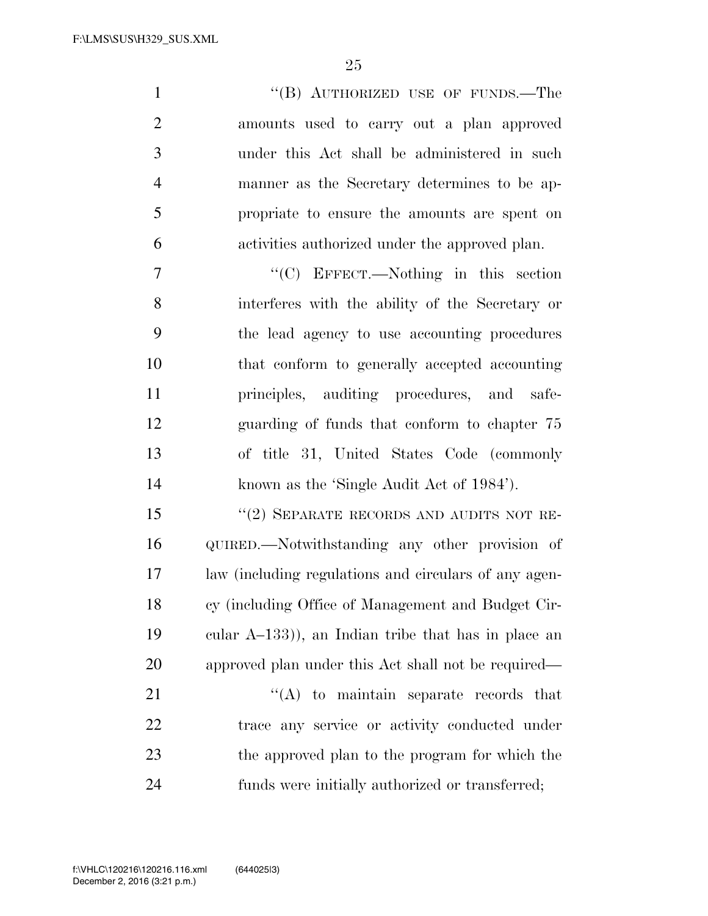| $\mathbf{1}$   | "(B) AUTHORIZED USE OF FUNDS.—The              |
|----------------|------------------------------------------------|
| $\overline{2}$ | amounts used to carry out a plan approved      |
| 3              | under this Act shall be administered in such   |
| 4              | manner as the Secretary determines to be ap-   |
| 5              | propriate to ensure the amounts are spent on   |
| 6              | activities authorized under the approved plan. |
| 7              | $\lq\lq$ EFFECT.—Nothing in this section       |

 interferes with the ability of the Secretary or the lead agency to use accounting procedures that conform to generally accepted accounting principles, auditing procedures, and safe- guarding of funds that conform to chapter 75 of title 31, United States Code (commonly known as the 'Single Audit Act of 1984').

15 "(2) SEPARATE RECORDS AND AUDITS NOT RE- QUIRED.—Notwithstanding any other provision of law (including regulations and circulars of any agen- cy (including Office of Management and Budget Cir- cular A–133)), an Indian tribe that has in place an approved plan under this Act shall not be required—

21 ''(A) to maintain separate records that trace any service or activity conducted under the approved plan to the program for which the funds were initially authorized or transferred;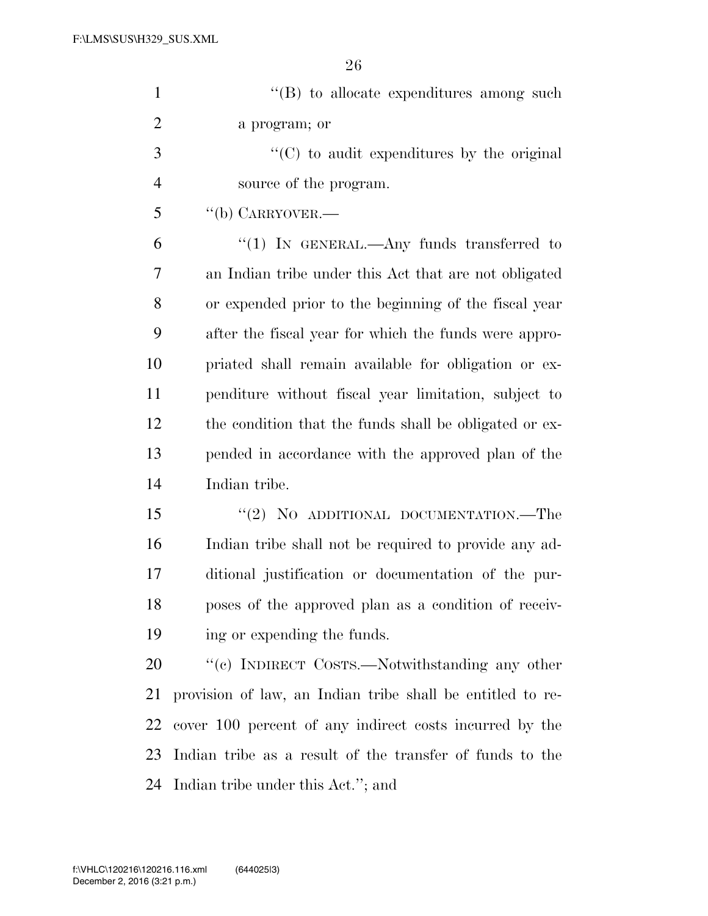| $\mathbf{1}$   | $\lq\lq (B)$ to allocate expenditures among such           |
|----------------|------------------------------------------------------------|
| $\overline{2}$ | a program; or                                              |
| 3              | $\cdot$ (C) to audit expenditures by the original          |
| $\overline{4}$ | source of the program.                                     |
| 5              | $``$ (b) CARRYOVER.—                                       |
| 6              | "(1) IN GENERAL.—Any funds transferred to                  |
| 7              | an Indian tribe under this Act that are not obligated      |
| 8              | or expended prior to the beginning of the fiscal year      |
| 9              | after the fiscal year for which the funds were appro-      |
| 10             | priated shall remain available for obligation or ex-       |
| 11             | penditure without fiscal year limitation, subject to       |
| 12             | the condition that the funds shall be obligated or ex-     |
| 13             | pended in accordance with the approved plan of the         |
| 14             | Indian tribe.                                              |
| 15             | "(2) NO ADDITIONAL DOCUMENTATION.—The                      |
| 16             | Indian tribe shall not be required to provide any ad-      |
| 17             | ditional justification or documentation of the pur-        |
| 18             | poses of the approved plan as a condition of receiv-       |
| 19             | ing or expending the funds.                                |
| 20             | "(c) INDIRECT COSTS.—Notwithstanding any other             |
| 21             | provision of law, an Indian tribe shall be entitled to re- |
| 22             | cover 100 percent of any indirect costs incurred by the    |
| 23             | Indian tribe as a result of the transfer of funds to the   |
| 24             | Indian tribe under this Act."; and                         |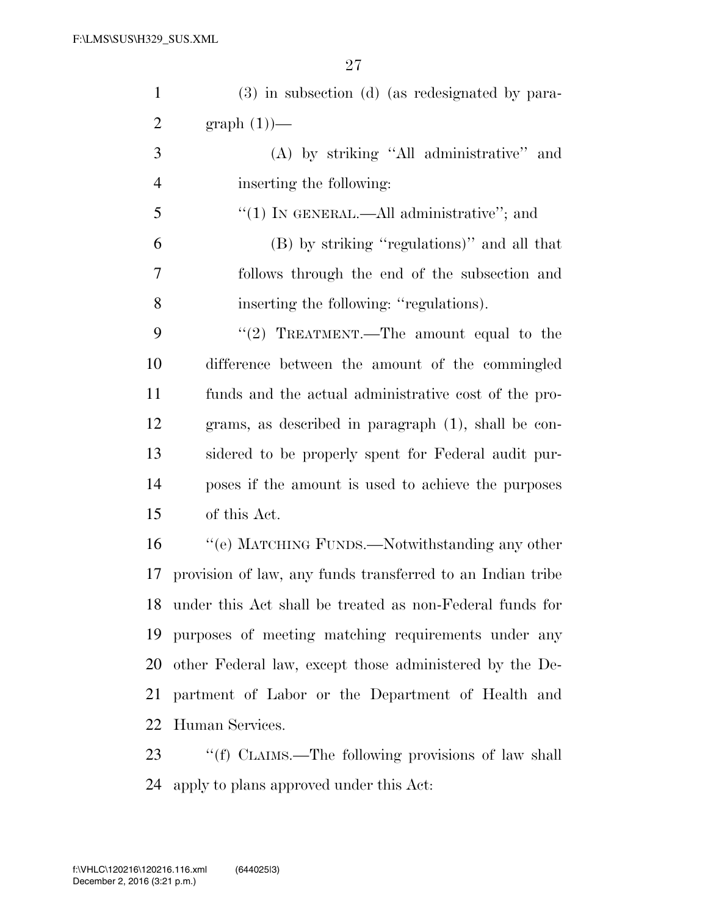| $\mathbf{1}$   | (3) in subsection (d) (as redesignated by para-             |
|----------------|-------------------------------------------------------------|
| $\overline{2}$ | $graph(1)$ —                                                |
| 3              | (A) by striking "All administrative" and                    |
| $\overline{4}$ | inserting the following:                                    |
| 5              | "(1) IN GENERAL.—All administrative"; and                   |
| 6              | (B) by striking "regulations)" and all that                 |
| 7              | follows through the end of the subsection and               |
| 8              | inserting the following: "regulations).                     |
| 9              | "(2) TREATMENT.—The amount equal to the                     |
| 10             | difference between the amount of the commingled             |
| 11             | funds and the actual administrative cost of the pro-        |
| 12             | grams, as described in paragraph $(1)$ , shall be con-      |
| 13             | sidered to be properly spent for Federal audit pur-         |
| 14             | poses if the amount is used to achieve the purposes         |
| 15             | of this Act.                                                |
| 16             | "(e) MATCHING FUNDS.—Notwithstanding any other              |
| 17             | provision of law, any funds transferred to an Indian tribe  |
|                | 18 under this Act shall be treated as non-Federal funds for |
| 19             | purposes of meeting matching requirements under any         |
| 20             | other Federal law, except those administered by the De-     |
| 21             | partment of Labor or the Department of Health and           |
| 22             | Human Services.                                             |
| 23             | "(f) CLAIMS.—The following provisions of law shall          |

apply to plans approved under this Act: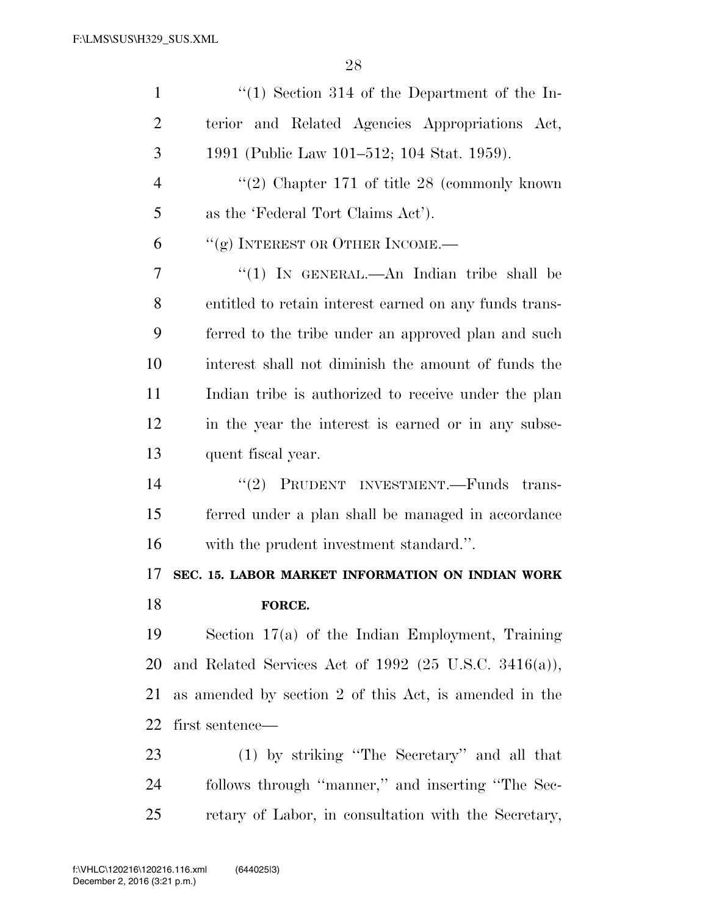| $\mathbf{1}$   | $\lq(1)$ Section 314 of the Department of the In-       |
|----------------|---------------------------------------------------------|
| $\overline{2}$ | terior and Related Agencies Appropriations Act,         |
| 3              | 1991 (Public Law 101–512; 104 Stat. 1959).              |
| $\overline{4}$ | "(2) Chapter $171$ of title 28 (commonly known)         |
| 5              | as the 'Federal Tort Claims Act').                      |
| 6              | "(g) INTEREST OR OTHER INCOME.—                         |
| 7              | "(1) IN GENERAL.—An Indian tribe shall be               |
| 8              | entitled to retain interest earned on any funds trans-  |
| 9              | ferred to the tribe under an approved plan and such     |
| 10             | interest shall not diminish the amount of funds the     |
| 11             | Indian tribe is authorized to receive under the plan    |
| 12             | in the year the interest is earned or in any subse-     |
| 13             | quent fiscal year.                                      |
| 14             | "(2) PRUDENT INVESTMENT.—Funds trans-                   |
| 15             | ferred under a plan shall be managed in accordance      |
| 16             | with the prudent investment standard.".                 |
| 17             | SEC. 15. LABOR MARKET INFORMATION ON INDIAN WORK        |
| 18             | FORCE.                                                  |
| 19             | Section $17(a)$ of the Indian Employment, Training      |
| 20             | and Related Services Act of $1992$ (25 U.S.C. 3416(a)), |
| 21             | as amended by section 2 of this Act, is amended in the  |
| 22             | first sentence—                                         |
| 23             |                                                         |
|                | (1) by striking "The Secretary" and all that            |
| 24             | follows through "manner," and inserting "The Sec-       |